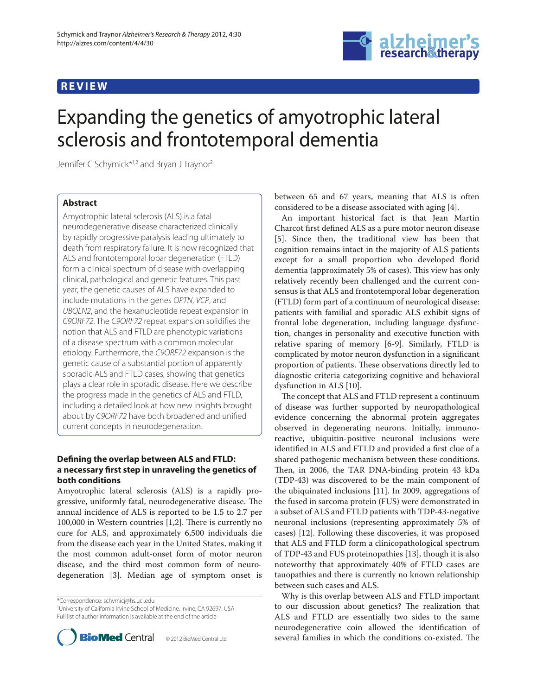# **REVIEW**



# Expanding the genetics of amyotrophic lateral sclerosis and frontotemporal dementia

Jennifer C Schymick\*1,2 and Bryan J Traynor2

# **Abstract**

Amyotrophic lateral sclerosis (ALS) is a fatal neurodegenerative disease characterized clinically by rapidly progressive paralysis leading ultimately to death from respiratory failure. It is now recognized that ALS and frontotemporal lobar degeneration (FTLD) form a clinical spectrum of disease with overlapping clinical, pathological and genetic features. This past year, the genetic causes of ALS have expanded to include mutations in the genes *OPTN*, *VCP*, and *UBQLN2*, and the hexanucleotide repeat expansion in *C9ORF72*. The *C9ORF72* repeat expansion solidifies the notion that ALS and FTLD are phenotypic variations of a disease spectrum with a common molecular etiology. Furthermore, the *C9ORF72* expansion is the genetic cause of a substantial portion of apparently sporadic ALS and FTLD cases, showing that genetics plays a clear role in sporadic disease. Here we describe the progress made in the genetics of ALS and FTLD, including a detailed look at how new insights brought about by *C9ORF72* have both broadened and unified current concepts in neurodegeneration.

# **Defining the overlap between ALS and FTLD:** a necessary first step in unraveling the genetics of **both conditions**

Amyotrophic lateral sclerosis (ALS) is a rapidly progressive, uniformly fatal, neurodegenerative disease. The annual incidence of ALS is reported to be 1.5 to 2.7 per 100,000 in Western countries  $[1,2]$ . There is currently no cure for ALS, and approximately 6,500 individuals die from the disease each year in the United States, making it the most common adult-onset form of motor neuron disease, and the third most common form of neurodegeneration [3]. Median age of symptom onset is

\*Correspondence: schymicj@hs.uci.edu

1 University of California Irvine School of Medicine, Irvine, CA 92697, USA Full list of author information is available at the end of the article



between 65 and 67 years, meaning that ALS is often considered to be a disease associated with aging [4].

An important historical fact is that Jean Martin Charcot first defined ALS as a pure motor neuron disease [5]. Since then, the traditional view has been that cognition remains intact in the majority of ALS patients except for a small proportion who developed florid dementia (approximately 5% of cases). This view has only relatively recently been challenged and the current consensus is that ALS and frontotemporal lobar degeneration (FTLD) form part of a continuum of neurological disease: patients with familial and sporadic ALS exhibit signs of frontal lobe degeneration, including language dysfunction, changes in personality and executive function with relative sparing of memory [6-9]. Similarly, FTLD is complicated by motor neuron dysfunction in a significant proportion of patients. These observations directly led to diagnostic criteria categorizing cognitive and behavioral dysfunction in ALS [10].

The concept that ALS and FTLD represent a continuum of disease was further supported by neuropathological evidence concerning the abnormal protein aggregates observed in degenerating neurons. Initially, immunoreactive, ubiquitin-positive neuronal inclusions were identified in ALS and FTLD and provided a first clue of a shared pathogenic mechanism between these conditions. Then, in 2006, the TAR DNA-binding protein 43 kDa (TDP-43) was discovered to be the main component of the ubiquinated inclusions [11]. In 2009, aggregations of the fused in sarcoma protein (FUS) were demonstrated in a subset of ALS and FTLD patients with TDP-43-negative neuronal inclusions (representing approximately 5% of cases) [12]. Following these discoveries, it was proposed that ALS and FTLD form a clinicopathological spectrum of TDP-43 and FUS proteinopathies [13], though it is also noteworthy that approximately 40% of FTLD cases are tauopathies and there is currently no known relationship between such cases and ALS.

Why is this overlap between ALS and FTLD important to our discussion about genetics? The realization that ALS and FTLD are essentially two sides to the same neurodegenerative coin allowed the identification of several families in which the conditions co-existed. The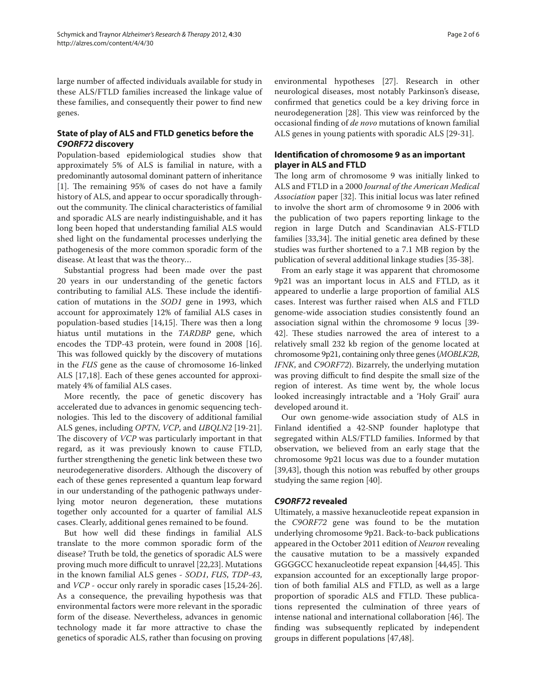large number of affected individuals available for study in these ALS/FTLD families increased the linkage value of these families, and consequently their power to find new genes.

# **State of play of ALS and FTLD genetics before the**  *C9ORF72* **discovery**

Population-based epidemiological studies show that approximately 5% of ALS is familial in nature, with a predominantly autosomal dominant pattern of inheritance [1]. The remaining 95% of cases do not have a family history of ALS, and appear to occur sporadically throughout the community. The clinical characteristics of familial and sporadic ALS are nearly indistinguishable, and it has long been hoped that understanding familial ALS would shed light on the fundamental processes underlying the pathogenesis of the more common sporadic form of the disease. At least that was the theory…

Substantial progress had been made over the past 20 years in our understanding of the genetic factors contributing to familial ALS. These include the identification of mutations in the *SOD1* gene in 1993, which account for approximately 12% of familial ALS cases in population-based studies [14,15]. There was then a long hiatus until mutations in the *TARDBP* gene, which encodes the TDP-43 protein, were found in 2008 [16]. This was followed quickly by the discovery of mutations in the *FUS* gene as the cause of chromosome 16-linked ALS [17,18]. Each of these genes accounted for approximately 4% of familial ALS cases.

More recently, the pace of genetic discovery has accelerated due to advances in genomic sequencing technologies. This led to the discovery of additional familial ALS genes, including *OPTN*, *VCP*, and *UBQLN2* [19-21]. The discovery of *VCP* was particularly important in that regard, as it was previously known to cause FTLD, further strengthening the genetic link between these two neurodegenerative disorders. Although the discovery of each of these genes represented a quantum leap forward in our understanding of the pathogenic pathways underlying motor neuron degeneration, these mutations together only accounted for a quarter of familial ALS cases. Clearly, additional genes remained to be found.

But how well did these findings in familial ALS translate to the more common sporadic form of the disease? Truth be told, the genetics of sporadic ALS were proving much more difficult to unravel [22,23]. Mutations in the known familial ALS genes - *SOD1*, *FUS*, *TDP-43*, and *VCP* - occur only rarely in sporadic cases [15,24-26]. As a consequence, the prevailing hypothesis was that environmental factors were more relevant in the sporadic form of the disease. Nevertheless, advances in genomic technology made it far more attractive to chase the genetics of sporadic ALS, rather than focusing on proving environmental hypotheses [27]. Research in other neurological diseases, most notably Parkinson's disease, confirmed that genetics could be a key driving force in neurodegeneration [28]. This view was reinforced by the occasional finding of *de novo* mutations of known familial ALS genes in young patients with sporadic ALS [29-31].

# **Identification of chromosome 9 as an important player in ALS and FTLD**

The long arm of chromosome 9 was initially linked to ALS and FTLD in a 2000 *Journal of the American Medical Association* paper [32]. This initial locus was later refined to involve the short arm of chromosome 9 in 2006 with the publication of two papers reporting linkage to the region in large Dutch and Scandinavian ALS-FTLD families [33,34]. The initial genetic area defined by these studies was further shortened to a 7.1 MB region by the publication of several additional linkage studies [35-38].

From an early stage it was apparent that chromosome 9p21 was an important locus in ALS and FTLD, as it appeared to underlie a large proportion of familial ALS cases. Interest was further raised when ALS and FTLD genome-wide association studies consistently found an association signal within the chromosome 9 locus [39-42]. These studies narrowed the area of interest to a relatively small 232 kb region of the genome located at chromosome 9p21, containing only three genes (*MOBLK2B*, *IFNK*, and *C9ORF72*). Bizarrely, the underlying mutation was proving difficult to find despite the small size of the region of interest. As time went by, the whole locus looked increasingly intractable and a 'Holy Grail' aura developed around it.

Our own genome-wide association study of ALS in Finland identified a 42-SNP founder haplotype that segregated within ALS/FTLD families. Informed by that observation, we believed from an early stage that the chromosome 9p21 locus was due to a founder mutation [39,43], though this notion was rebuffed by other groups studying the same region [40].

# *C9ORF72* **revealed**

Ultimately, a massive hexanucleotide repeat expansion in the *C9ORF72* gene was found to be the mutation underlying chromosome 9p21. Back-to-back publications appeared in the October 2011 edition of *Neuron* revealing the causative mutation to be a massively expanded GGGGCC hexanucleotide repeat expansion [44,45]. This expansion accounted for an exceptionally large proportion of both familial ALS and FTLD, as well as a large proportion of sporadic ALS and FTLD. These publications represented the culmination of three years of intense national and international collaboration [46]. The finding was subsequently replicated by independent groups in different populations [47,48].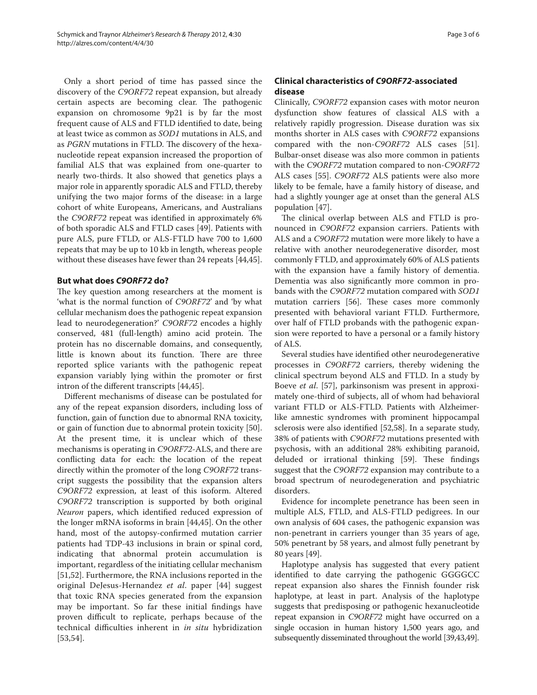Only a short period of time has passed since the discovery of the *C9ORF72* repeat expansion, but already certain aspects are becoming clear. The pathogenic expansion on chromosome 9p21 is by far the most frequent cause of ALS and FTLD identified to date, being at least twice as common as *SOD1* mutations in ALS, and as *PGRN* mutations in FTLD. The discovery of the hexanucleotide repeat expansion increased the proportion of familial ALS that was explained from one-quarter to nearly two-thirds. It also showed that genetics plays a major role in apparently sporadic ALS and FTLD, thereby unifying the two major forms of the disease: in a large cohort of white Europeans, Americans, and Australians the *C9ORF72* repeat was identified in approximately 6% of both sporadic ALS and FTLD cases [49]. Patients with pure ALS, pure FTLD, or ALS-FTLD have 700 to 1,600 repeats that may be up to 10 kb in length, whereas people without these diseases have fewer than 24 repeats [44,45].

### **But what does** *C9ORF72* **do?**

The key question among researchers at the moment is 'what is the normal function of *C9ORF72*' and 'by what cellular mechanism does the pathogenic repeat expansion lead to neurodegeneration?' *C9ORF72* encodes a highly conserved, 481 (full-length) amino acid protein. The protein has no discernable domains, and consequently, little is known about its function. There are three reported splice variants with the pathogenic repeat expansion variably lying within the promoter or first intron of the different transcripts [44,45].

Different mechanisms of disease can be postulated for any of the repeat expansion disorders, including loss of function, gain of function due to abnormal RNA toxicity, or gain of function due to abnormal protein toxicity [50]. At the present time, it is unclear which of these mechanisms is operating in *C9ORF72*-ALS, and there are conflicting data for each: the location of the repeat directly within the promoter of the long *C9ORF72* transcript suggests the possibility that the expansion alters *C9ORF72* expression, at least of this isoform. Altered *C9ORF72* transcription is supported by both original *Neuron* papers, which identified reduced expression of the longer mRNA isoforms in brain [44,45]. On the other hand, most of the autopsy-confirmed mutation carrier patients had TDP-43 inclusions in brain or spinal cord, indicating that abnormal protein accumulation is important, regardless of the initiating cellular mechanism [51,52]. Furthermore, the RNA inclusions reported in the original DeJesus-Hernandez *et al*. paper [44] suggest that toxic RNA species generated from the expansion may be important. So far these initial findings have proven difficult to replicate, perhaps because of the technical difficulties inherent in *in situ* hybridization [53,54].

# **Clinical characteristics of** *C9ORF72***-associated disease**

Clinically, *C9ORF72* expansion cases with motor neuron dysfunction show features of classical ALS with a relatively rapidly progression. Disease duration was six months shorter in ALS cases with *C9ORF72* expansions compared with the non-*C9ORF72* ALS cases [51]. Bulbar-onset disease was also more common in patients with the *C9ORF72* mutation compared to non-*C9ORF72* ALS cases [55]. *C9ORF72* ALS patients were also more likely to be female, have a family history of disease, and had a slightly younger age at onset than the general ALS population [47].

The clinical overlap between ALS and FTLD is pronounced in *C9ORF72* expansion carriers. Patients with ALS and a *C9ORF72* mutation were more likely to have a relative with another neurodegenerative disorder, most commonly FTLD, and approximately 60% of ALS patients with the expansion have a family history of dementia. Dementia was also significantly more common in probands with the *C9ORF72* mutation compared with *SOD1* mutation carriers [56]. These cases more commonly presented with behavioral variant FTLD. Furthermore, over half of FTLD probands with the pathogenic expansion were reported to have a personal or a family history of ALS.

Several studies have identified other neurodegenerative processes in *C9ORF72* carriers, thereby widening the clinical spectrum beyond ALS and FTLD. In a study by Boeve *et al*. [57], parkinsonism was present in approximately one-third of subjects, all of whom had behavioral variant FTLD or ALS-FTLD. Patients with Alzheimerlike amnestic syndromes with prominent hippocampal sclerosis were also identified [52,58]. In a separate study, 38% of patients with *C9ORF72* mutations presented with psychosis, with an additional 28% exhibiting paranoid, deluded or irrational thinking [59]. These findings suggest that the *C9ORF72* expansion may contribute to a broad spectrum of neurodegeneration and psychiatric disorders.

Evidence for incomplete penetrance has been seen in multiple ALS, FTLD, and ALS-FTLD pedigrees. In our own analysis of 604 cases, the pathogenic expansion was non-penetrant in carriers younger than 35 years of age, 50% penetrant by 58 years, and almost fully penetrant by 80 years [49].

Haplotype analysis has suggested that every patient identified to date carrying the pathogenic GGGGCC repeat expansion also shares the Finnish founder risk haplotype, at least in part. Analysis of the haplotype suggests that predisposing or pathogenic hexanucleotide repeat expansion in *C9ORF72* might have occurred on a single occasion in human history 1,500 years ago, and subsequently disseminated throughout the world [39,43,49].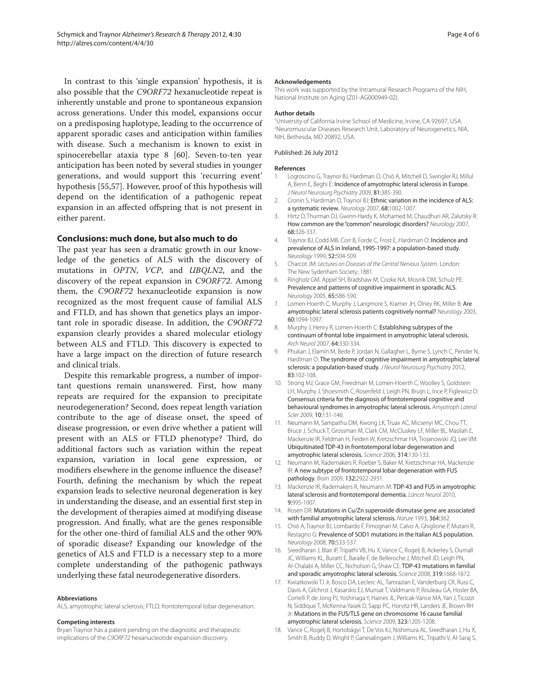In contrast to this 'single expansion' hypothesis, it is also possible that the *C9ORF72* hexanucleotide repeat is inherently unstable and prone to spontaneous expansion across generations. Under this model, expansions occur on a predisposing haplotype, leading to the occurrence of apparent sporadic cases and anticipation within families with disease. Such a mechanism is known to exist in spinocerebellar ataxia type 8 [60]. Seven-to-ten year anticipation has been noted by several studies in younger generations, and would support this 'recurring event' hypothesis [55,57]. However, proof of this hypothesis will depend on the identification of a pathogenic repeat expansion in an affected offspring that is not present in either parent.

#### **Conclusions: much done, but also much to do**

The past year has seen a dramatic growth in our knowledge of the genetics of ALS with the discovery of mutations in *OPTN*, *VCP*, and *UBQLN2*, and the discovery of the repeat expansion in *C9ORF72*. Among them, the *C9ORF72* hexanucleotide expansion is now recognized as the most frequent cause of familial ALS and FTLD, and has shown that genetics plays an important role in sporadic disease. In addition, the *C9ORF72* expansion clearly provides a shared molecular etiology between ALS and FTLD. This discovery is expected to have a large impact on the direction of future research and clinical trials.

Despite this remarkable progress, a number of important questions remain unanswered. First, how many repeats are required for the expansion to precipitate neurodegeneration? Second, does repeat length variation contribute to the age of disease onset, the speed of disease progression, or even drive whether a patient will present with an ALS or FTLD phenotype? Third, do additional factors such as variation within the repeat expansion, variation in local gene expression, or modifiers elsewhere in the genome influence the disease? Fourth, defining the mechanism by which the repeat expansion leads to selective neuronal degeneration is key in understanding the disease, and an essential first step in the development of therapies aimed at modifying disease progression. And finally, what are the genes responsible for the other one-third of familial ALS and the other 90% of sporadic disease? Expanding our knowledge of the genetics of ALS and FTLD is a necessary step to a more complete understanding of the pathogenic pathways underlying these fatal neurodegenerative disorders.

#### **Abbreviations**

ALS, amyotrophic lateral sclerosis; FTLD, frontotemporal lobar degeneration.

#### **Competing interests**

Bryan Traynor has a patent pending on the diagnostic and therapeutic implications of the *C9ORF72* hexanucleotide expansion discovery.

#### **Acknowledgements**

This work was supported by the Intramural Research Programs of the NIH, National Institute on Aging (Z01-AG000949-02).

#### **Author details**

<sup>1</sup>University of California Irvine School of Medicine, Irvine, CA 92697, USA. 2 Neuromuscular Diseases Research Unit, Laboratory of Neurogenetics, NIA, NIH, Bethesda, MD 20892, USA.

#### Published: 26 July 2012

#### **References**

- 1. Logroscino G, Traynor BJ, Hardiman O, Chió A, Mitchell D, Swingler RJ, Millul A, Benn E, Beghi E: Incidence of amyotrophic lateral sclerosis in Europe. *J Neurol Neurosurg Psychiatry* 2009, 81:385-390.
- 2. Cronin S, Hardiman O, Traynor BJ: Ethnic variation in the incidence of ALS: a systematic review*. Neurology* 2007, 68:1002-1007.
- 3. Hirtz D, Thurman DJ, Gwinn-Hardy K, Mohamed M, Chaudhuri AR, Zalutsky R: How common are the "common" neurologic disorders? *Neurology* 2007, 68:326-337.
- 4. Traynor BJ, Codd MB, Corr B, Forde C, Frost E, Hardiman O: Incidence and prevalence of ALS in Ireland, 1995-1997: a population-based study. *Neurology* 1999, 52:504-509.
- 5. Charcot JM: *Lectures on Diseases of the Central Nervous System*. London: The New Sydenham Society; 1881.
- 6. Ringholz GM, Appel SH, Bradshaw M, Cooke NA, Mosnik DM, Schulz PE: Prevalence and patterns of cognitive impairment in sporadic ALS. *Neurology* 2005, 65:586-590.
- 7. Lomen-Hoerth C, Murphy J, Langmore S, Kramer JH, Olney RK, Miller B: Are amyotrophic lateral sclerosis patients cognitively normal? *Neurology* 2003, 60:1094-1097.
- 8. Murphy J, Henry R, Lomen-Hoerth C: Establishing subtypes of the continuum of frontal lobe impairment in amyotrophic lateral sclerosis. *Arch Neurol* 2007, 64:330-334.
- 9. Phukan J, Elamin M, Bede P, Jordan N, Gallagher L, Byrne S, Lynch C, Pender N, Hardiman O: The syndrome of cognitive impairment in amyotrophic lateral sclerosis: a population-based study. *J Neurol Neurosurg Psychiatry* 2012, 83:102-108.
- 10. Strong MJ, Grace GM, Freedman M, Lomen-Hoerth C, Woolley S, Goldstein LH, Murphy J, Shoesmith C, Rosenfeld J, Leigh PN, Bruijn L, Ince P, Figlewicz D: Consensus criteria for the diagnosis of frontotemporal cognitive and behavioural syndromes in amyotrophic lateral sclerosis. *Amyotroph Lateral Scler* 2009, 10:131-146.
- 11. Neumann M, Sampathu DM, Kwong LK, Truax AC, Micsenyi MC, Chou TT, Bruce J, Schuck T, Grossman M, Clark CM, McCluskey LF, Miller BL, Masliah E, Mackenzie IR, Feldman H, Feiden W, Kretzschmar HA, Trojanowski JQ, Lee VM: Ubiquitinated TDP-43 in frontotemporal lobar degeneration and amyotrophic lateral sclerosis. *Science* 2006, 314:130-133.
- 12. Neumann M, Rademakers R, Roeber S, Baker M, Kretzschmar HA, Mackenzie IR: A new subtype of frontotemporal lobar degeneration with FUS pathology. *Brain* 2009, 132:2922-2931.
- 13. Mackenzie IR, Rademakers R, Neumann M: TDP-43 and FUS in amyotrophic lateral sclerosis and frontotemporal dementia. *Lancet Neurol* 2010, 9:995-1007.
- 14. Rosen DR: Mutations in Cu/Zn superoxide dismutase gene are associated with familial amyotrophic lateral sclerosis. *Nature* 1993, 364:362.
- 15. Chiò A, Traynor BJ, Lombardo F, Fimognari M, Calvo A, Ghiglione P, Mutani R, Restagno G: Prevalence of SOD1 mutations in the Italian ALS population. *Neurology* 2008, 70:533-537.
- 16. Sreedharan J, Blair IP, Tripathi VB, Hu X, Vance C, Rogelj B, Ackerley S, Durnall JC, Williams KL, Buratti E, Baralle F, de Belleroche J, Mitchell JD, Leigh PN, Al-Chalabi A, Miller CC, Nicholson G, Shaw CE: TDP-43 mutations in familial and sporadic amyotrophic lateral sclerosis. *Science* 2008, 319:1668-1672.
- 17. Kwiatkowski TJ Jr, Bosco DA, Leclerc AL, Tamrazian E, Vanderburg CR, Russ C, Davis A, Gilchrist J, Kasarskis EJ, Munsat T, Valdmanis P, Rouleau GA, Hosler BA, Cortelli P, de Jong PJ, Yoshinaga Y, Haines JL, Pericak-Vance MA, Yan J, Ticozzi N, Siddique T, McKenna-Yasek D, Sapp PC, Horvitz HR, Landers JE, Brown RH Jr: Mutations in the FUS/TLS gene on chromosome 16 cause familial amyotrophic lateral sclerosis. *Science* 2009, 323:1205-1208.
- 18. Vance C, Rogelj B, Hortobágyi T, De Vos KJ, Nishimura AL, Sreedharan J, Hu X, Smith B, Ruddy D, Wright P, Ganesalingam J, Williams KL, Tripathi V, Al-Saraj S,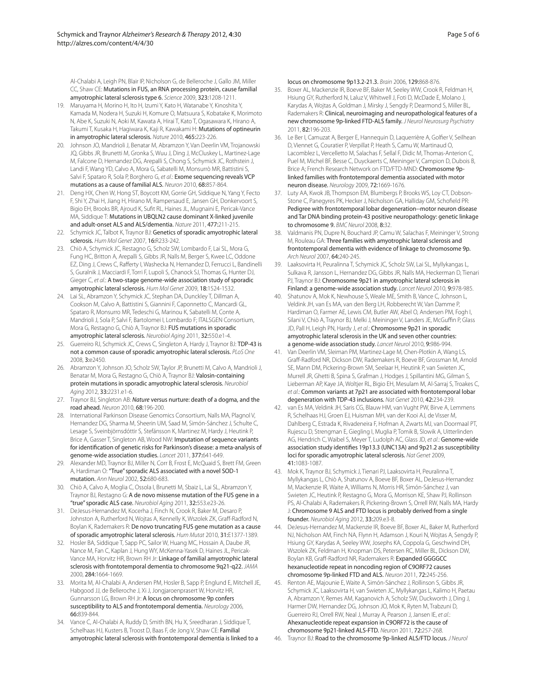Al-Chalabi A, Leigh PN, Blair IP, Nicholson G, de Belleroche J, Gallo JM, Miller CC, Shaw CE: Mutations in FUS, an RNA processing protein, cause familial amyotrophic lateral sclerosis type 6. *Science* 2009, 323:1208-1211.

- 19. Maruyama H, Morino H, Ito H, Izumi Y, Kato H, Watanabe Y, Kinoshita Y, Kamada M, Nodera H, Suzuki H, Komure O, Matsuura S, Kobatake K, Morimoto N, Abe K, Suzuki N, Aoki M, Kawata A, Hirai T, Kato T, Ogasawara K, Hirano A, Takumi T, Kusaka H, Hagiwara K, Kaji R, Kawakami H: Mutations of optineurin in amyotrophic lateral sclerosis. *Nature* 2010, 465:223-226.
- 20. Johnson JO, Mandrioli J, Benatar M, Abramzon Y, Van Deerlin VM, Trojanowski JQ, Gibbs JR, Brunetti M, Gronka S, Wuu J, Ding J, McCluskey L, Martinez-Lage M, Falcone D, Hernandez DG, Arepalli S, Chong S, Schymick JC, Rothstein J, Landi F, Wang YD, Calvo A, Mora G, Sabatelli M, Monsurrò MR, Battistini S, Salvi F, Spataro R, Sola P, Borghero G, *et al*.: Exome sequencing reveals VCP mutations as a cause of familial ALS. *Neuron* 2010, 68:857-864.
- 21. Deng HX, Chen W, Hong ST, Boycott KM, Gorrie GH, Siddique N, Yang Y, Fecto F, Shi Y, Zhai H, Jiang H, Hirano M, Rampersaud E, Jansen GH, Donkervoort S, Bigio EH, Brooks BR, Ajroud K, Sufit RL, Haines JL, Mugnaini E, Pericak-Vance MA, Siddique T: Mutations in UBQLN2 cause dominant X-linked juvenile and adult-onset ALS and ALS/dementia. *Nature* 2011, 477:211-215.
- 22. Schymick JC, Talbot K, Traynor BJ: Genetics of sporadic amyotrophic lateral sclerosis. *Hum Mol Genet* 2007, 16:R233-242.
- 23. Chiò A, Schymick JC, Restagno G, Scholz SW, Lombardo F, Lai SL, Mora G, Fung HC, Britton A, Arepalli S, Gibbs JR, Nalls M, Berger S, Kwee LC, Oddone EZ, Ding J, Crews C, Rafferty I, Washecka N, Hernandez D, Ferrucci L, Bandinelli S, Guralnik J, Macciardi F, Torri F, Lupoli S, Chanock SJ, Thomas G, Hunter DJ, Gieger C, *et al*.: A two-stage genome-wide association study of sporadic amyotrophic lateral sclerosis. *Hum Mol Genet* 2009, 18:1524-1532.
- 24. Lai SL, Abramzon Y, Schymick JC, Stephan DA, Dunckley T, Dillman A, Cookson M, Calvo A, Battistini S, Giannini F, Caponnetto C, Mancardi GL, Spataro R, Monsurro MR, Tedeschi G, Marinou K, Sabatelli M, Conte A, Mandrioli J, Sola P, Salvi F, Bartolomei I, Lombardo F; ITALSGEN Consortium, Mora G, Restagno G, Chiò A, Traynor BJ: FUS mutations in sporadic amyotrophic lateral sclerosis. *Neurobiol Aging* 2011, 32:550.e1-4.
- 25. Guerreiro RJ, Schymick JC, Crews C, Singleton A, Hardy J, Traynor BJ: TDP-43 is not a common cause of sporadic amyotrophic lateral sclerosis. *PLoS One* 2008, 3:e2450.
- 26. Abramzon Y, Johnson JO, Scholz SW, Taylor JP, Brunetti M, Calvo A, Mandrioli J, Benatar M, Mora G, Restagno G, Chiò A, Traynor BJ: Valosin-containing protein mutations in sporadic amyotrophic lateral sclerosis. *Neurobiol Aging* 2012, 33:2231.e1-6.
- 27. Traynor BJ, Singleton AB: *Nature* versus nurture: death of a dogma, and the road ahead. *Neuron* 2010, 68:196-200.
- 28. International Parkinson Disease Genomics Consortium, Nalls MA, Plagnol V, Hernandez DG, Sharma M, Sheerin UM, Saad M, Simón-Sánchez J, Schulte C, Lesage S, Sveinbjörnsdóttir S, Stefánsson K, Martinez M, Hardy J, Heutink P, Brice A, Gasser T, Singleton AB, Wood NW: Imputation of sequence variants for identification of genetic risks for Parkinson's disease: a meta-analysis of genome-wide association studies. *Lancet* 2011, 377:641-649.
- 29. Alexander MD, Traynor BJ, Miller N, Corr B, Frost E, McQuaid S, Brett FM, Green A, Hardiman O: "True" sporadic ALS associated with a novel SOD-1 mutation. *Ann Neurol* 2002, 52:680-683.
- 30. Chiò A, Calvo A, Moglia C, Ossola I, Brunetti M, Sbaiz L, Lai SL, Abramzon Y, Traynor BJ, Restagno G: A de novo missense mutation of the FUS gene in a "true" sporadic ALS case. *Neurobiol Aging* 2011, 32:553.e23-26.
- 31. DeJesus-Hernandez M, Kocerha J, Finch N, Crook R, Baker M, Desaro P, Johnston A, Rutherford N, Wojtas A, Kennelly K, Wszolek ZK, Graff-Radford N, Boylan K, Rademakers R: De novo truncating FUS gene mutation as a cause of sporadic amyotrophic lateral sclerosis. *Hum Mutat* 2010, 31:E1377-1389.
- 32. Hosler BA, Siddique T, Sapp PC, Sailor W, Huang MC, Hossain A, Daube JR, Nance M, Fan C, Kaplan J, Hung WY, McKenna-Yasek D, Haines JL, Pericak-Vance MA, Horvitz HR, Brown RH Jr: Linkage of familial amyotrophic lateral sclerosis with frontotemporal dementia to chromosome 9q21-q22. *JAMA* 2000, 284:1664-1669.
- 33. Morita M, Al-Chalabi A, Andersen PM, Hosler B, Sapp P, Englund E, Mitchell JE, Habgood JJ, de Belleroche J, Xi J, Jongjaroenprasert W, Horvitz HR, Gunnarsson LG, Brown RH Jr: A locus on chromosome 9p confers susceptibility to ALS and frontotemporal dementia. *Neurology* 2006, 66:839-844.
- 34. Vance C, Al-Chalabi A, Ruddy D, Smith BN, Hu X, Sreedharan J, Siddique T, Schelhaas HJ, Kusters B, Troost D, Baas F, de Jong V, Shaw CE: Familial amyotrophic lateral sclerosis with frontotemporal dementia is linked to a

locus on chromosome 9p13.2-21.3. *Brain* 2006, 129:868-876.

- 35. Boxer AL, Mackenzie IR, Boeve BF, Baker M, Seeley WW, Crook R, Feldman H, Hsiung GY, Rutherford N, Laluz V, Whitwell J, Foti D, McDade E, Molano J, Karydas A, Wojtas A, Goldman J, Mirsky J, Sengdy P, Dearmond S, Miller BL, Rademakers R: Clinical, neuroimaging and neuropathological features of a new chromosome 9p-linked FTD-ALS family. *J Neurol Neurosurg Psychiatry* 2011, 82:196-203.
- 36. Le Ber I, Camuzat A, Berger E, Hannequin D, Laquerrière A, Golfier V, Seilhean D, Viennet G, Couratier P, Verpillat P, Heath S, Camu W, Martinaud O, Lacomblez L, Vercelletto M, Salachas F, Sellal F, Didic M, Thomas-Anterion C, Puel M, Michel BF, Besse C, Duyckaerts C, Meininger V, Campion D, Dubois B, Brice A; French Research Network on FTD/FTD-MND: Chromosome 9plinked families with frontotemporal dementia associated with motor neuron disease. *Neurology* 2009, 72:1669-1676.
- 37. Luty AA, Kwok JB, Thompson EM, Blumbergs P, Brooks WS, Loy CT, Dobson-Stone C, Panegyres PK, Hecker J, Nicholson GA, Halliday GM, Schofield PR: Pedigree with frontotemporal lobar degeneration--motor neuron disease and Tar DNA binding protein-43 positive neuropathology: genetic linkage to chromosome 9. *BMC Neurol* 2008, 8:32.
- 38. Valdmanis PN, Dupre N, Bouchard JP, Camu W, Salachas F, Meininger V, Strong M, Rouleau GA: Three families with amyotrophic lateral sclerosis and frontotemporal dementia with evidence of linkage to chromosome 9p. *Arch Neurol* 2007, 64:240-245.
- 39. Laaksovirta H, Peuralinna T, Schymick JC, Scholz SW, Lai SL, Myllykangas L, Sulkava R, Jansson L, Hernandez DG, Gibbs JR, Nalls MA, Heckerman D, Tienari PJ, Traynor BJ: Chromosome 9p21 in amyotrophic lateral sclerosis in Finland: a genome-wide association study. *Lancet Neurol* 2010, 9:978-985.
- Shatunov A, Mok K, Newhouse S, Weale ME, Smith B, Vance C, Johnson L, Veldink JH, van Es MA, van den Berg LH, Robberecht W, Van Damme P, Hardiman O, Farmer AE, Lewis CM, Butler AW, Abel O, Andersen PM, Fogh I, Silani V, Chiò A, Traynor BJ, Melki J, Meininger V, Landers JE, McGuffin P, Glass JD, Pall H, Leigh PN, Hardy J, *et al*.: Chromosome 9p21 in sporadic amyotrophic lateral sclerosis in the UK and seven other countries: a genome-wide association study. *Lancet Neurol* 2010, 9:986-994.
- 41. Van Deerlin VM, Sleiman PM, Martinez-Lage M, Chen-Plotkin A, Wang LS, Graff-Radford NR, Dickson DW, Rademakers R, Boeve BF, Grossman M, Arnold SE, Mann DM, Pickering-Brown SM, Seelaar H, Heutink P, van Swieten JC, Murrell JR, Ghetti B, Spina S, Grafman J, Hodges J, Spillantini MG, Gilman S, Lieberman AP, Kaye JA, Woltjer RL, Bigio EH, Mesulam M, Al-Sarraj S, Troakes C, *et al*.: Common variants at 7p21 are associated with frontotemporal lobar degeneration with TDP-43 inclusions. *Nat Genet* 2010, 42:234-239.
- 42. van Es MA, Veldink JH, Saris CG, Blauw HM, van Vught PW, Birve A, Lemmens R, Schelhaas HJ, Groen EJ, Huisman MH, van der Kooi AJ, de Visser M, Dahlberg C, Estrada K, Rivadeneira F, Hofman A, Zwarts MJ, van Doormaal PT, Rujescu D, Strengman E, Giegling I, Muglia P, Tomik B, Slowik A, Uitterlinden AG, Hendrich C, Waibel S, Meyer T, Ludolph AC, Glass JD, *et al*.: Genome-wide association study identifies 19p13.3 (UNC13A) and 9p21.2 as susceptibility loci for sporadic amyotrophic lateral sclerosis. *Nat Genet* 2009, 41:1083-1087.
- 43. Mok K, Traynor BJ, Schymick J, Tienari PJ, Laaksovirta H, Peuralinna T, Myllykangas L, Chiò A, Shatunov A, Boeve BF, Boxer AL, DeJesus-Hernandez M, Mackenzie IR, Waite A, Williams N, Morris HR, Simón-Sánchez J, van Swieten JC, Heutink P, Restagno G, Mora G, Morrison KE, Shaw PJ, Rollinson PS, Al-Chalabi A, Rademakers R, Pickering-Brown S, Orrell RW, Nalls MA, Hardy J: Chromosome 9 ALS and FTD locus is probably derived from a single founder. *Neurobiol Aging* 2012, 33:209.e3-8.
- 44. DeJesus-Hernandez M, Mackenzie IR, Boeve BF, Boxer AL, Baker M, Rutherford NJ, Nicholson AM, Finch NA, Flynn H, Adamson J, Kouri N, Wojtas A, Sengdy P, Hsiung GY, Karydas A, Seeley WW, Josephs KA, Coppola G, Geschwind DH, Wszolek ZK, Feldman H, Knopman DS, Petersen RC, Miller BL, Dickson DW, Boylan KB, Graff-Radford NR, Rademakers R: Expanded GGGGCC hexanucleotide repeat in noncoding region of C9ORF72 causes chromosome 9p-linked FTD and ALS. *Neuron* 2011, 72:245-256.
- 45. Renton AE, Majounie E, Waite A, Simón-Sánchez J, Rollinson S, Gibbs JR, Schymick JC, Laaksovirta H, van Swieten JC, Myllykangas L, Kalimo H, Paetau A, Abramzon Y, Remes AM, Kaganovich A, Scholz SW, Duckworth J, Ding J, Harmer DW, Hernandez DG, Johnson JO, Mok K, Ryten M, Trabzuni D, Guerreiro RJ, Orrell RW, Neal J, Murray A, Pearson J, Jansen IE, *et al*.: Ahexanucleotide repeat expansion in C9ORF72 is the cause of chromosome 9p21-linked ALS-FTD. *Neuron* 2011, 72:257-268.
- 46. Traynor BJ: Road to the chromosome 9p-linked ALS/FTD locus. *J Neurol*